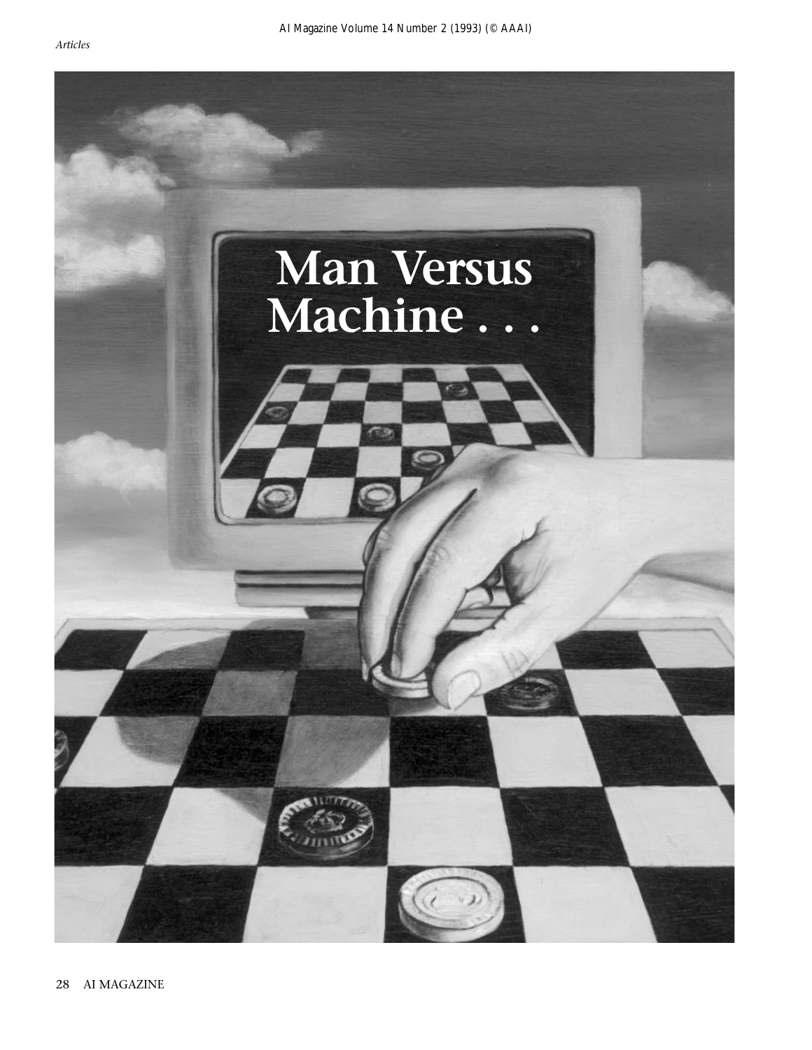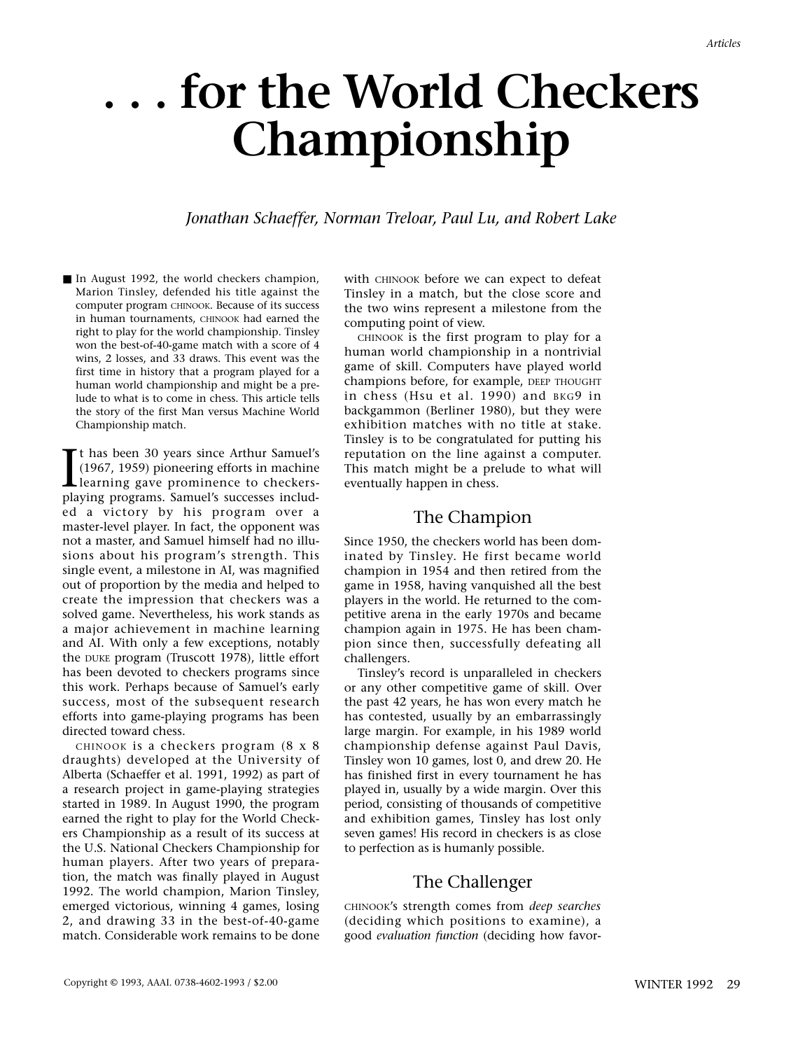# **. . . for the World Checkers Championship**

#### *Jonathan Schaeffer, Norman Treloar, Paul Lu, and Robert Lake*

■ In August 1992, the world checkers champion, Marion Tinsley, defended his title against the computer program CHINOOK. Because of its success in human tournaments, CHINOOK had earned the right to play for the world championship. Tinsley won the best-of-40-game match with a score of 4 wins, 2 losses, and 33 draws. This event was the first time in history that a program played for a human world championship and might be a prelude to what is to come in chess. This article tells the story of the first Man versus Machine World Championship match.

It has been 30 years since Arthur Samuel's<br>(1967, 1959) pioneering efforts in machine<br>learning gave prominence to checkers-<br>playing programs. Samuel's successes includt has been 30 years since Arthur Samuel's (1967, 1959) pioneering efforts in machine learning gave prominence to checkersed a victory by his program over a master-level player. In fact, the opponent was not a master, and Samuel himself had no illusions about his program's strength. This single event, a milestone in AI, was magnified out of proportion by the media and helped to create the impression that checkers was a solved game. Nevertheless, his work stands as a major achievement in machine learning and AI. With only a few exceptions, notably the DUKE program (Truscott 1978), little effort has been devoted to checkers programs since this work. Perhaps because of Samuel's early success, most of the subsequent research efforts into game-playing programs has been directed toward chess.

CHINOOK is a checkers program (8 x 8 draughts) developed at the University of Alberta (Schaeffer et al. 1991, 1992) as part of a research project in game-playing strategies started in 1989. In August 1990, the program earned the right to play for the World Checkers Championship as a result of its success at the U.S. National Checkers Championship for human players. After two years of preparation, the match was finally played in August 1992. The world champion, Marion Tinsley, emerged victorious, winning 4 games, losing 2, and drawing 33 in the best-of-40-game match. Considerable work remains to be done

with CHINOOK before we can expect to defeat Tinsley in a match, but the close score and the two wins represent a milestone from the computing point of view.

CHINOOK is the first program to play for a human world championship in a nontrivial game of skill. Computers have played world champions before, for example, DEEP THOUGHT in chess (Hsu et al. 1990) and BKG9 in backgammon (Berliner 1980), but they were exhibition matches with no title at stake. Tinsley is to be congratulated for putting his reputation on the line against a computer. This match might be a prelude to what will eventually happen in chess.

## The Champion

Since 1950, the checkers world has been dominated by Tinsley. He first became world champion in 1954 and then retired from the game in 1958, having vanquished all the best players in the world. He returned to the competitive arena in the early 1970s and became champion again in 1975. He has been champion since then, successfully defeating all challengers.

Tinsley's record is unparalleled in checkers or any other competitive game of skill. Over the past 42 years, he has won every match he has contested, usually by an embarrassingly large margin. For example, in his 1989 world championship defense against Paul Davis, Tinsley won 10 games, lost 0, and drew 20. He has finished first in every tournament he has played in, usually by a wide margin. Over this period, consisting of thousands of competitive and exhibition games, Tinsley has lost only seven games! His record in checkers is as close to perfection as is humanly possible.

# The Challenger

CHINOOK's strength comes from *deep searches* (deciding which positions to examine), a good *evaluation function* (deciding how favor-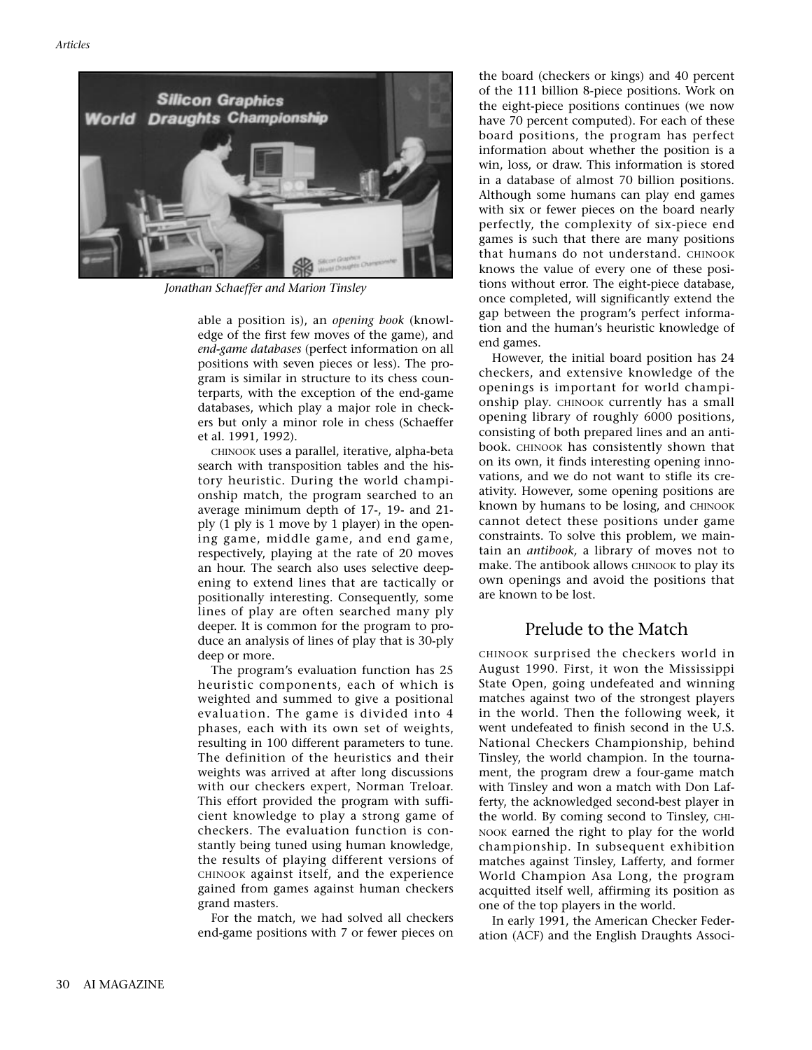

*Jonathan Schaeffer and Marion Tinsley*

able a position is), an *opening book* (knowledge of the first few moves of the game), and *end-game databases* (perfect information on all positions with seven pieces or less). The program is similar in structure to its chess counterparts, with the exception of the end-game databases, which play a major role in checkers but only a minor role in chess (Schaeffer et al. 1991, 1992).

CHINOOK uses a parallel, iterative, alpha-beta search with transposition tables and the history heuristic. During the world championship match, the program searched to an average minimum depth of 17-, 19- and 21 ply (1 ply is 1 move by 1 player) in the opening game, middle game, and end game, respectively, playing at the rate of 20 moves an hour. The search also uses selective deepening to extend lines that are tactically or positionally interesting. Consequently, some lines of play are often searched many ply deeper. It is common for the program to produce an analysis of lines of play that is 30-ply deep or more.

The program's evaluation function has 25 heuristic components, each of which is weighted and summed to give a positional evaluation. The game is divided into 4 phases, each with its own set of weights, resulting in 100 different parameters to tune. The definition of the heuristics and their weights was arrived at after long discussions with our checkers expert, Norman Treloar. This effort provided the program with sufficient knowledge to play a strong game of checkers. The evaluation function is constantly being tuned using human knowledge, the results of playing different versions of CHINOOK against itself, and the experience gained from games against human checkers grand masters.

For the match, we had solved all checkers end-game positions with 7 or fewer pieces on the board (checkers or kings) and 40 percent of the 111 billion 8-piece positions. Work on the eight-piece positions continues (we now have 70 percent computed). For each of these board positions, the program has perfect information about whether the position is a win, loss, or draw. This information is stored in a database of almost 70 billion positions. Although some humans can play end games with six or fewer pieces on the board nearly perfectly, the complexity of six-piece end games is such that there are many positions that humans do not understand. CHINOOK knows the value of every one of these positions without error. The eight-piece database, once completed, will significantly extend the gap between the program's perfect information and the human's heuristic knowledge of end games.

However, the initial board position has 24 checkers, and extensive knowledge of the openings is important for world championship play. CHINOOK currently has a small opening library of roughly 6000 positions, consisting of both prepared lines and an antibook. CHINOOK has consistently shown that on its own, it finds interesting opening innovations, and we do not want to stifle its creativity. However, some opening positions are known by humans to be losing, and CHINOOK cannot detect these positions under game constraints. To solve this problem, we maintain an *antibook,* a library of moves not to make. The antibook allows CHINOOK to play its own openings and avoid the positions that are known to be lost.

#### Prelude to the Match

CHINOOK surprised the checkers world in August 1990. First, it won the Mississippi State Open, going undefeated and winning matches against two of the strongest players in the world. Then the following week, it went undefeated to finish second in the U.S. National Checkers Championship, behind Tinsley, the world champion. In the tournament, the program drew a four-game match with Tinsley and won a match with Don Lafferty, the acknowledged second-best player in the world. By coming second to Tinsley, CHI-NOOK earned the right to play for the world championship. In subsequent exhibition matches against Tinsley, Lafferty, and former World Champion Asa Long, the program acquitted itself well, affirming its position as one of the top players in the world.

In early 1991, the American Checker Federation (ACF) and the English Draughts Associ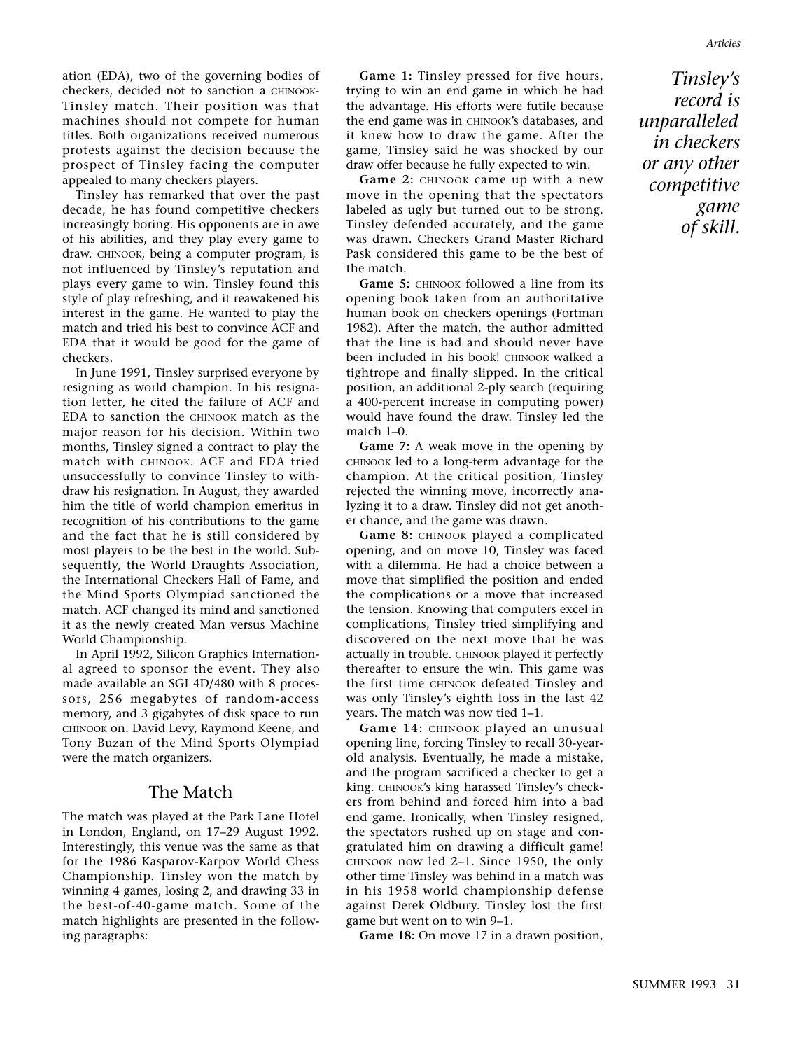ation (EDA), two of the governing bodies of checkers, decided not to sanction a CHINOOK-Tinsley match. Their position was that machines should not compete for human titles. Both organizations received numerous protests against the decision because the prospect of Tinsley facing the computer appealed to many checkers players.

Tinsley has remarked that over the past decade, he has found competitive checkers increasingly boring. His opponents are in awe of his abilities, and they play every game to draw. CHINOOK, being a computer program, is not influenced by Tinsley's reputation and plays every game to win. Tinsley found this style of play refreshing, and it reawakened his interest in the game. He wanted to play the match and tried his best to convince ACF and EDA that it would be good for the game of checkers.

In June 1991, Tinsley surprised everyone by resigning as world champion. In his resignation letter, he cited the failure of ACF and EDA to sanction the CHINOOK match as the major reason for his decision. Within two months, Tinsley signed a contract to play the match with CHINOOK. ACF and EDA tried unsuccessfully to convince Tinsley to withdraw his resignation. In August, they awarded him the title of world champion emeritus in recognition of his contributions to the game and the fact that he is still considered by most players to be the best in the world. Subsequently, the World Draughts Association, the International Checkers Hall of Fame, and the Mind Sports Olympiad sanctioned the match. ACF changed its mind and sanctioned it as the newly created Man versus Machine World Championship.

In April 1992, Silicon Graphics International agreed to sponsor the event. They also made available an SGI 4D/480 with 8 processors, 256 megabytes of random-access memory, and 3 gigabytes of disk space to run CHINOOK on. David Levy, Raymond Keene, and Tony Buzan of the Mind Sports Olympiad were the match organizers.

#### The Match

The match was played at the Park Lane Hotel in London, England, on 17–29 August 1992. Interestingly, this venue was the same as that for the 1986 Kasparov-Karpov World Chess Championship. Tinsley won the match by winning 4 games, losing 2, and drawing 33 in the best-of-40-game match. Some of the match highlights are presented in the following paragraphs:

**Game 1:** Tinsley pressed for five hours, trying to win an end game in which he had the advantage. His efforts were futile because the end game was in CHINOOK's databases, and it knew how to draw the game. After the game, Tinsley said he was shocked by our draw offer because he fully expected to win.

**Game 2:** CHINOOK came up with a new move in the opening that the spectators labeled as ugly but turned out to be strong. Tinsley defended accurately, and the game was drawn. Checkers Grand Master Richard Pask considered this game to be the best of the match.

Game 5: CHINOOK followed a line from its opening book taken from an authoritative human book on checkers openings (Fortman 1982). After the match, the author admitted that the line is bad and should never have been included in his book! CHINOOK walked a tightrope and finally slipped. In the critical position, an additional 2-ply search (requiring a 400-percent increase in computing power) would have found the draw. Tinsley led the match 1–0.

**Game 7:** A weak move in the opening by CHINOOK led to a long-term advantage for the champion. At the critical position, Tinsley rejected the winning move, incorrectly analyzing it to a draw. Tinsley did not get another chance, and the game was drawn.

**Game 8:** CHINOOK played a complicated opening, and on move 10, Tinsley was faced with a dilemma. He had a choice between a move that simplified the position and ended the complications or a move that increased the tension. Knowing that computers excel in complications, Tinsley tried simplifying and discovered on the next move that he was actually in trouble. CHINOOK played it perfectly thereafter to ensure the win. This game was the first time CHINOOK defeated Tinsley and was only Tinsley's eighth loss in the last 42 years. The match was now tied 1–1.

**Game 14:** CHINOOK played an unusual opening line, forcing Tinsley to recall 30-yearold analysis. Eventually, he made a mistake, and the program sacrificed a checker to get a king. CHINOOK's king harassed Tinsley's checkers from behind and forced him into a bad end game. Ironically, when Tinsley resigned, the spectators rushed up on stage and congratulated him on drawing a difficult game! CHINOOK now led 2–1. Since 1950, the only other time Tinsley was behind in a match was in his 1958 world championship defense against Derek Oldbury. Tinsley lost the first game but went on to win 9–1.

Game 18: On move 17 in a drawn position,

*Tinsley's record is unparalleled in checkers or any other competitive game of skill.*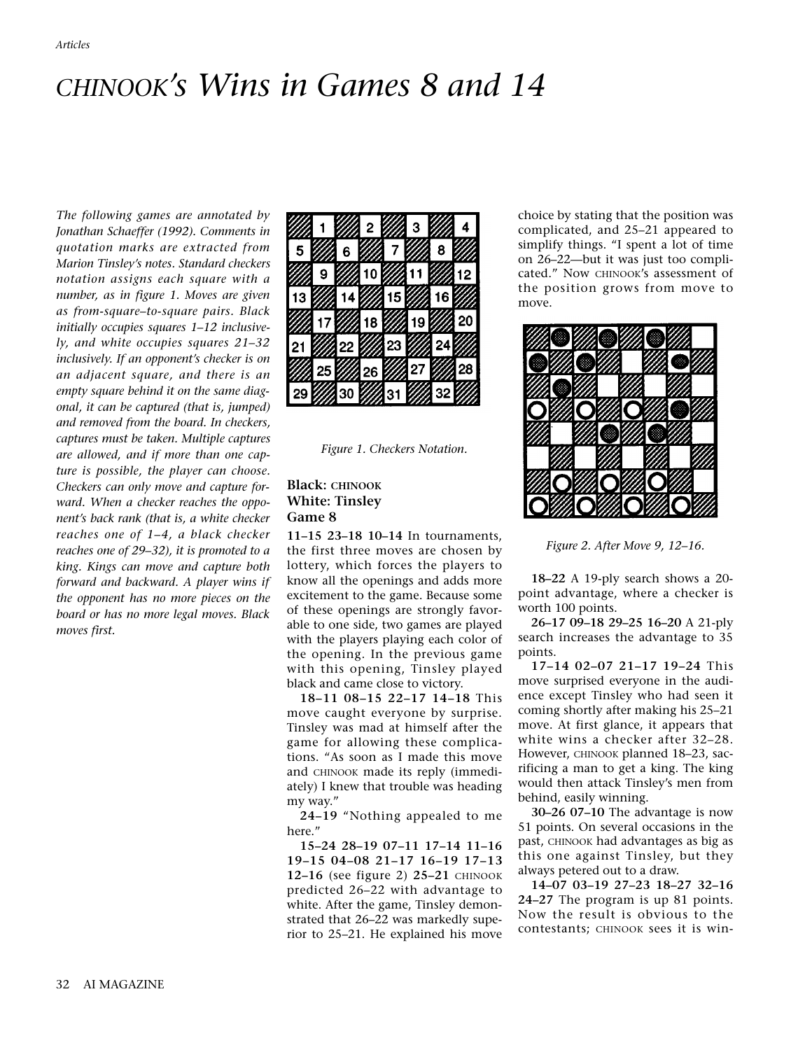# *CHINOOK's Wins in Games 8 and 14*

*The following games are annotated by Jonathan Schaeffer (1992). Comments in quotation marks are extracted from Marion Tinsley's notes. Standard checkers notation assigns each square with a number, as in figure 1. Moves are given as from-square–to-square pairs. Black initially occupies squares 1–12 inclusively, and white occupies squares 21–32 inclusively. If an opponent's checker is on an adjacent square, and there is an empty square behind it on the same diagonal, it can be captured (that is, jumped) and removed from the board. In checkers, captures must be taken. Multiple captures are allowed, and if more than one capture is possible, the player can choose. Checkers can only move and capture forward. When a checker reaches the opponent's back rank (that is, a white checker reaches one of 1–4, a black checker reaches one of 29–32), it is promoted to a king. Kings can move and capture both forward and backward. A player wins if the opponent has no more pieces on the board or has no more legal moves. Black moves first.*



*Figure 1. Checkers Notation.*

# **Black: CHINOOK White: Tinsley Game 8**

**11–15 23–18 10–14** In tournaments, the first three moves are chosen by lottery, which forces the players to know all the openings and adds more excitement to the game. Because some of these openings are strongly favorable to one side, two games are played with the players playing each color of the opening. In the previous game with this opening, Tinsley played black and came close to victory.

**18–11 08–15 22–17 14–18** This move caught everyone by surprise. Tinsley was mad at himself after the game for allowing these complications. "As soon as I made this move and CHINOOK made its reply (immediately) I knew that trouble was heading my way."

**24–19** "Nothing appealed to me here."

**15–24 28–19 07–11 17–14 11–16 19–15 04–08 21–17 16–19 17–13 12–16** (see figure 2) **25–21** CHINOOK predicted 26–22 with advantage to white. After the game, Tinsley demonstrated that 26–22 was markedly superior to 25–21. He explained his move

choice by stating that the position was complicated, and 25–21 appeared to simplify things. "I spent a lot of time on 26–22—but it was just too complicated." Now CHINOOK's assessment of the position grows from move to move.



*Figure 2. After Move 9, 12–16.*

**18–22** A 19-ply search shows a 20 point advantage, where a checker is worth 100 points.

**26–17 09–18 29–25 16–20** A 21-ply search increases the advantage to 35 points.

**17–14 02–07 21–17 19–24** This move surprised everyone in the audience except Tinsley who had seen it coming shortly after making his 25–21 move. At first glance, it appears that white wins a checker after 32–28. However, CHINOOK planned 18–23, sacrificing a man to get a king. The king would then attack Tinsley's men from behind, easily winning.

**30–26 07–10** The advantage is now 51 points. On several occasions in the past, CHINOOK had advantages as big as this one against Tinsley, but they always petered out to a draw.

**14–07 03–19 27–23 18–27 32–16 24–27** The program is up 81 points. Now the result is obvious to the contestants; CHINOOK sees it is win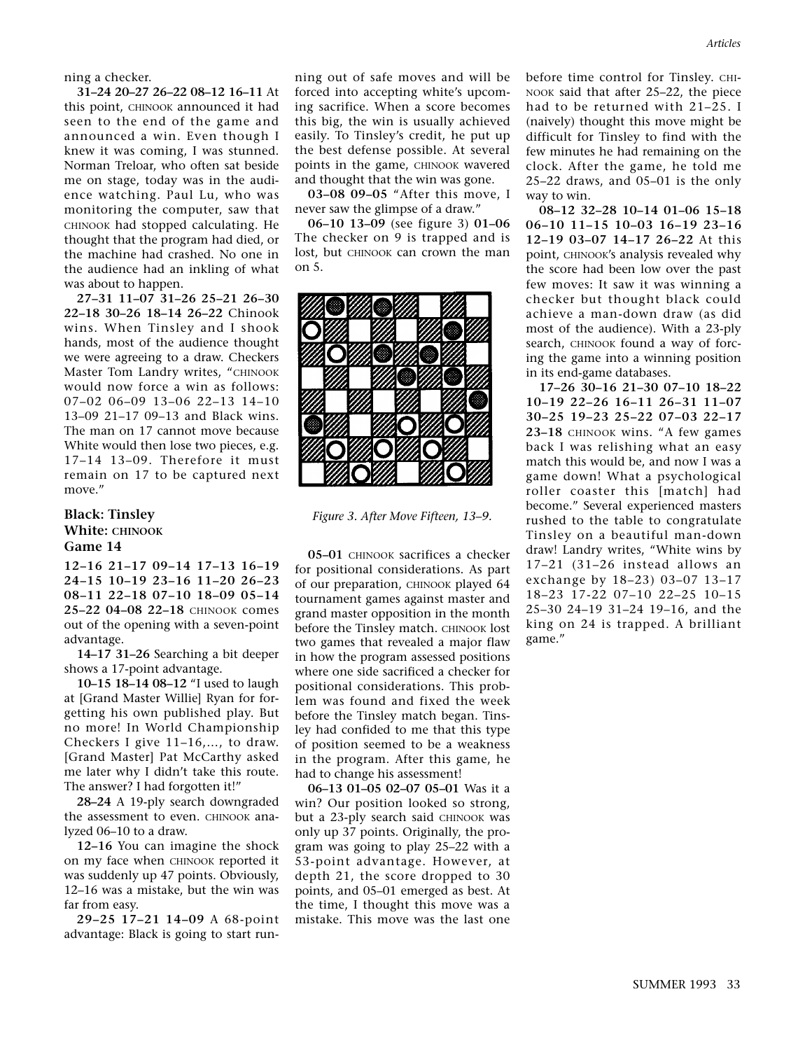ning a checker.

**31–24 20–27 26–22 08–12 16–11** At this point, CHINOOK announced it had seen to the end of the game and announced a win. Even though I knew it was coming, I was stunned. Norman Treloar, who often sat beside me on stage, today was in the audience watching. Paul Lu, who was monitoring the computer, saw that CHINOOK had stopped calculating. He thought that the program had died, or the machine had crashed. No one in the audience had an inkling of what was about to happen.

**27–31 11–07 31–26 25–21 26–30 22–18 30–26 18–14 26–22** Chinook wins. When Tinsley and I shook hands, most of the audience thought we were agreeing to a draw. Checkers Master Tom Landry writes, "CHINOOK would now force a win as follows: 07–02 06–09 13–06 22–13 14–10 13–09 21–17 09–13 and Black wins. The man on 17 cannot move because White would then lose two pieces, e.g. 17–14 13–09. Therefore it must remain on 17 to be captured next move."

#### **Black: Tinsley White: CHINOOK Game 14**

**12–16 21–17 09–14 17–13 16–19 24–15 10–19 23–16 11–20 26–23 08–11 22–18 07–10 18–09 05–14 25–22 04–08 22–18** CHINOOK comes out of the opening with a seven-point advantage.

**14–17 31–26** Searching a bit deeper shows a 17-point advantage.

**10–15 18–14 08–12** "I used to laugh at [Grand Master Willie] Ryan for forgetting his own published play. But no more! In World Championship Checkers I give 11–16,…, to draw. [Grand Master] Pat McCarthy asked me later why I didn't take this route. The answer? I had forgotten it!"

**28–24** A 19-ply search downgraded the assessment to even. CHINOOK analyzed 06–10 to a draw.

**12–16** You can imagine the shock on my face when CHINOOK reported it was suddenly up 47 points. Obviously, 12–16 was a mistake, but the win was far from easy.

**29–25 17–21 14–09** A 68-point advantage: Black is going to start running out of safe moves and will be forced into accepting white's upcoming sacrifice. When a score becomes this big, the win is usually achieved easily. To Tinsley's credit, he put up the best defense possible. At several points in the game, CHINOOK wavered and thought that the win was gone.

**03–08 09–05** "After this move, I never saw the glimpse of a draw."

**06–10 13–09** (see figure 3) **01–06** The checker on 9 is trapped and is lost, but CHINOOK can crown the man on 5.



*Figure 3. After Move Fifteen, 13–9.*

**05–01** CHINOOK sacrifices a checker for positional considerations. As part of our preparation, CHINOOK played 64 tournament games against master and grand master opposition in the month before the Tinsley match. CHINOOK lost two games that revealed a major flaw in how the program assessed positions where one side sacrificed a checker for positional considerations. This problem was found and fixed the week before the Tinsley match began. Tinsley had confided to me that this type of position seemed to be a weakness in the program. After this game, he had to change his assessment!

**06–13 01–05 02–07 05–01** Was it a win? Our position looked so strong, but a 23-ply search said CHINOOK was only up 37 points. Originally, the program was going to play 25–22 with a 53-point advantage. However, at depth 21, the score dropped to 30 points, and 05–01 emerged as best. At the time, I thought this move was a mistake. This move was the last one

before time control for Tinsley. CHI-NOOK said that after 25–22, the piece had to be returned with 21–25. I (naively) thought this move might be difficult for Tinsley to find with the few minutes he had remaining on the clock. After the game, he told me 25–22 draws, and 05–01 is the only way to win.

**08–12 32–28 10–14 01–06 15–18 06–10 11–15 10–03 16–19 23–16 12–19 03–07 14–17 26–22** At this point, CHINOOK's analysis revealed why the score had been low over the past few moves: It saw it was winning a checker but thought black could achieve a man-down draw (as did most of the audience). With a 23-ply search, CHINOOK found a way of forcing the game into a winning position in its end-game databases.

**17–26 30–16 21–30 07–10 18–22 10–19 22–26 16–11 26–31 11–07 30–25 19–23 25–22 07–03 22–17 23–18** CHINOOK wins. "A few games back I was relishing what an easy match this would be, and now I was a game down! What a psychological roller coaster this [match] had become." Several experienced masters rushed to the table to congratulate Tinsley on a beautiful man-down draw! Landry writes, "White wins by 17–21 (31–26 instead allows an exchange by 18–23) 03–07 13–17 18–23 17-22 07–10 22–25 10–15 25–30 24–19 31–24 19–16, and the king on 24 is trapped. A brilliant game."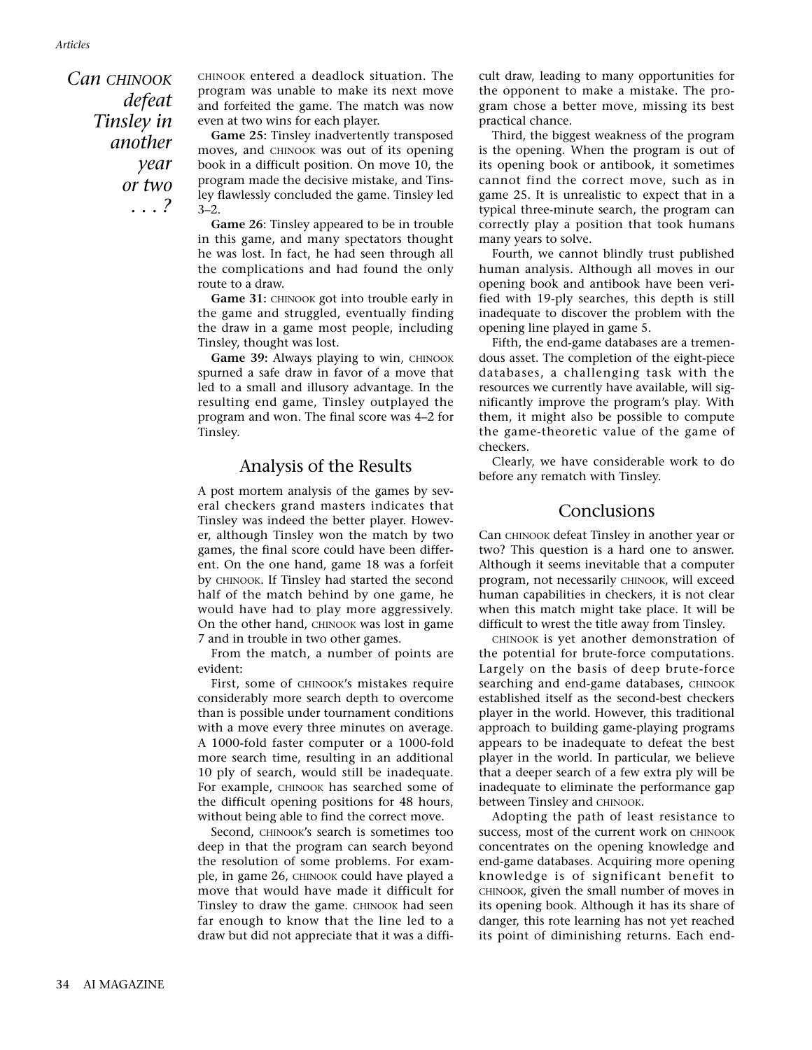*Can CHINOOK defeat Tinsley in another year or two . . . ?*

CHINOOK entered a deadlock situation. The program was unable to make its next move and forfeited the game. The match was now even at two wins for each player.

**Game 25:** Tinsley inadvertently transposed moves, and CHINOOK was out of its opening book in a difficult position. On move 10, the program made the decisive mistake, and Tinsley flawlessly concluded the game. Tinsley led 3–2.

**Game 26**: Tinsley appeared to be in trouble in this game, and many spectators thought he was lost. In fact, he had seen through all the complications and had found the only route to a draw.

Game 31: CHINOOK got into trouble early in the game and struggled, eventually finding the draw in a game most people, including Tinsley, thought was lost.

**Game 39:** Always playing to win, CHINOOK spurned a safe draw in favor of a move that led to a small and illusory advantage. In the resulting end game, Tinsley outplayed the program and won. The final score was 4–2 for Tinsley.

#### Analysis of the Results

A post mortem analysis of the games by several checkers grand masters indicates that Tinsley was indeed the better player. However, although Tinsley won the match by two games, the final score could have been different. On the one hand, game 18 was a forfeit by CHINOOK. If Tinsley had started the second half of the match behind by one game, he would have had to play more aggressively. On the other hand, CHINOOK was lost in game 7 and in trouble in two other games.

From the match, a number of points are evident:

First, some of CHINOOK's mistakes require considerably more search depth to overcome than is possible under tournament conditions with a move every three minutes on average. A 1000-fold faster computer or a 1000-fold more search time, resulting in an additional 10 ply of search, would still be inadequate. For example, CHINOOK has searched some of the difficult opening positions for 48 hours, without being able to find the correct move.

Second, CHINOOK's search is sometimes too deep in that the program can search beyond the resolution of some problems. For example, in game 26, CHINOOK could have played a move that would have made it difficult for Tinsley to draw the game. CHINOOK had seen far enough to know that the line led to a draw but did not appreciate that it was a difficult draw, leading to many opportunities for the opponent to make a mistake. The program chose a better move, missing its best practical chance.

Third, the biggest weakness of the program is the opening. When the program is out of its opening book or antibook, it sometimes cannot find the correct move, such as in game 25. It is unrealistic to expect that in a typical three-minute search, the program can correctly play a position that took humans many years to solve.

Fourth, we cannot blindly trust published human analysis. Although all moves in our opening book and antibook have been verified with 19-ply searches, this depth is still inadequate to discover the problem with the opening line played in game 5.

Fifth, the end-game databases are a tremendous asset. The completion of the eight-piece databases, a challenging task with the resources we currently have available, will significantly improve the program's play. With them, it might also be possible to compute the game-theoretic value of the game of checkers.

Clearly, we have considerable work to do before any rematch with Tinsley.

#### Conclusions

Can CHINOOK defeat Tinsley in another year or two? This question is a hard one to answer. Although it seems inevitable that a computer program, not necessarily CHINOOK, will exceed human capabilities in checkers, it is not clear when this match might take place. It will be difficult to wrest the title away from Tinsley.

CHINOOK is yet another demonstration of the potential for brute-force computations. Largely on the basis of deep brute-force searching and end-game databases, CHINOOK established itself as the second-best checkers player in the world. However, this traditional approach to building game-playing programs appears to be inadequate to defeat the best player in the world. In particular, we believe that a deeper search of a few extra ply will be inadequate to eliminate the performance gap between Tinsley and CHINOOK.

Adopting the path of least resistance to success, most of the current work on CHINOOK concentrates on the opening knowledge and end-game databases. Acquiring more opening knowledge is of significant benefit to CHINOOK, given the small number of moves in its opening book. Although it has its share of danger, this rote learning has not yet reached its point of diminishing returns. Each end